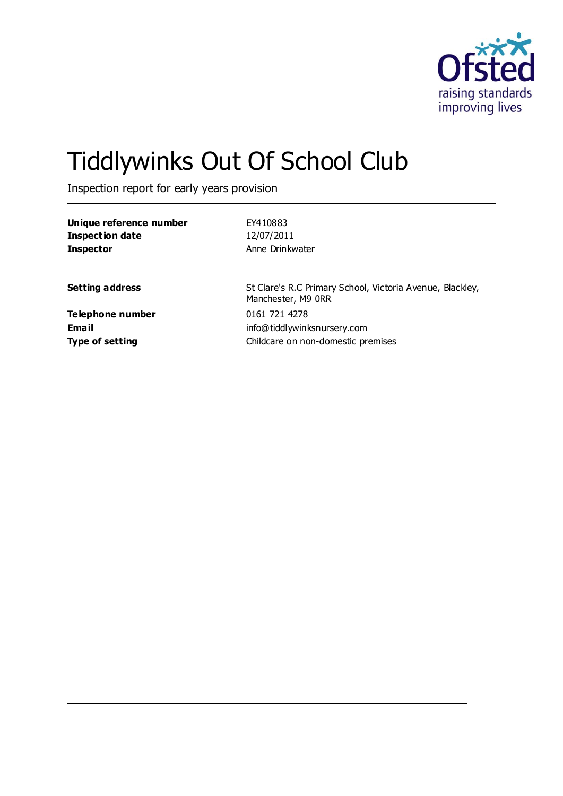

# Tiddlywinks Out Of School Club

Inspection report for early years provision

| Unique reference number    | EY410883                                                                        |
|----------------------------|---------------------------------------------------------------------------------|
| <b>Inspection date</b>     | 12/07/2011                                                                      |
| <b>Inspector</b>           | Anne Drinkwater                                                                 |
| <b>Setting address</b>     | St Clare's R.C Primary School, Victoria Avenue, Blackley,<br>Manchester, M9 ORR |
| Telephone number<br>Ema il | 0161 721 4278<br>info@tiddlywinksnursery.com                                    |
| <b>Type of setting</b>     | Childcare on non-domestic premises                                              |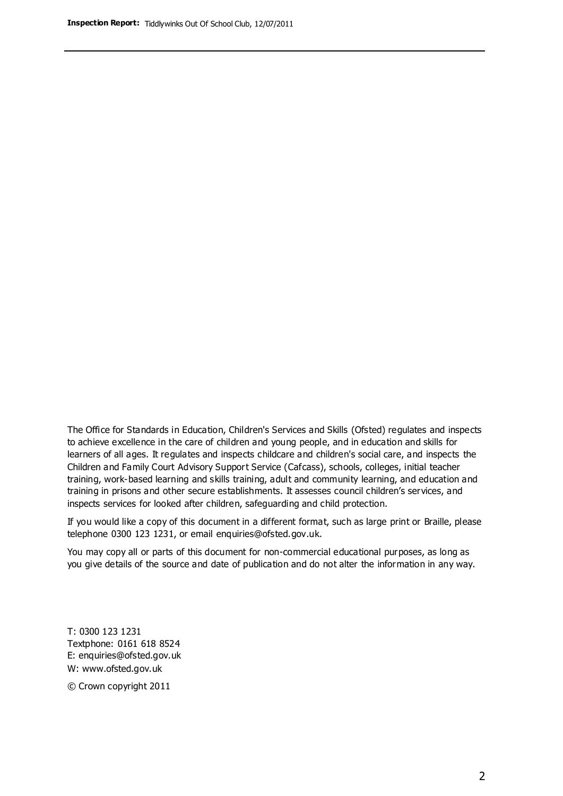The Office for Standards in Education, Children's Services and Skills (Ofsted) regulates and inspects to achieve excellence in the care of children and young people, and in education and skills for learners of all ages. It regulates and inspects childcare and children's social care, and inspects the Children and Family Court Advisory Support Service (Cafcass), schools, colleges, initial teacher training, work-based learning and skills training, adult and community learning, and education and training in prisons and other secure establishments. It assesses council children's services, and inspects services for looked after children, safeguarding and child protection.

If you would like a copy of this document in a different format, such as large print or Braille, please telephone 0300 123 1231, or email enquiries@ofsted.gov.uk.

You may copy all or parts of this document for non-commercial educational purposes, as long as you give details of the source and date of publication and do not alter the information in any way.

T: 0300 123 1231 Textphone: 0161 618 8524 E: enquiries@ofsted.gov.uk W: [www.ofsted.gov.uk](http://www.ofsted.gov.uk/)

© Crown copyright 2011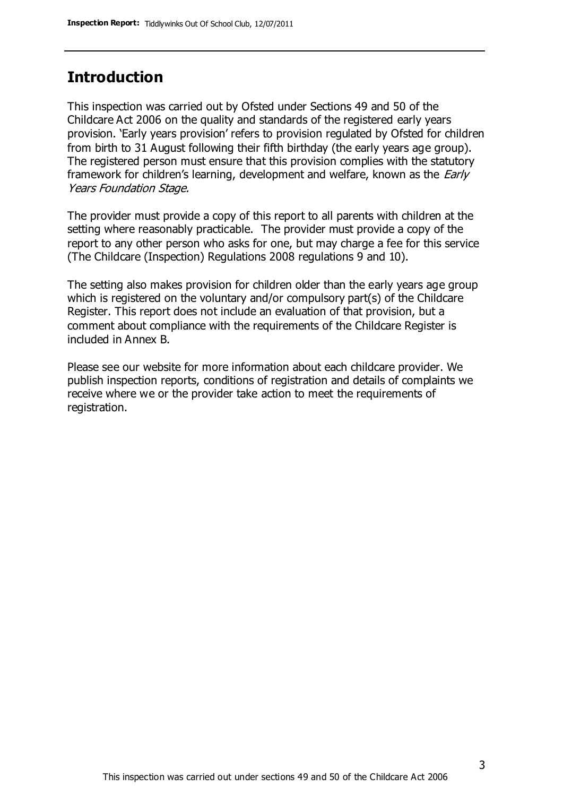## **Introduction**

This inspection was carried out by Ofsted under Sections 49 and 50 of the Childcare Act 2006 on the quality and standards of the registered early years provision. 'Early years provision' refers to provision regulated by Ofsted for children from birth to 31 August following their fifth birthday (the early years age group). The registered person must ensure that this provision complies with the statutory framework for children's learning, development and welfare, known as the *Early* Years Foundation Stage.

The provider must provide a copy of this report to all parents with children at the setting where reasonably practicable. The provider must provide a copy of the report to any other person who asks for one, but may charge a fee for this service (The Childcare (Inspection) Regulations 2008 regulations 9 and 10).

The setting also makes provision for children older than the early years age group which is registered on the voluntary and/or compulsory part(s) of the Childcare Register. This report does not include an evaluation of that provision, but a comment about compliance with the requirements of the Childcare Register is included in Annex B.

Please see our website for more information about each childcare provider. We publish inspection reports, conditions of registration and details of complaints we receive where we or the provider take action to meet the requirements of registration.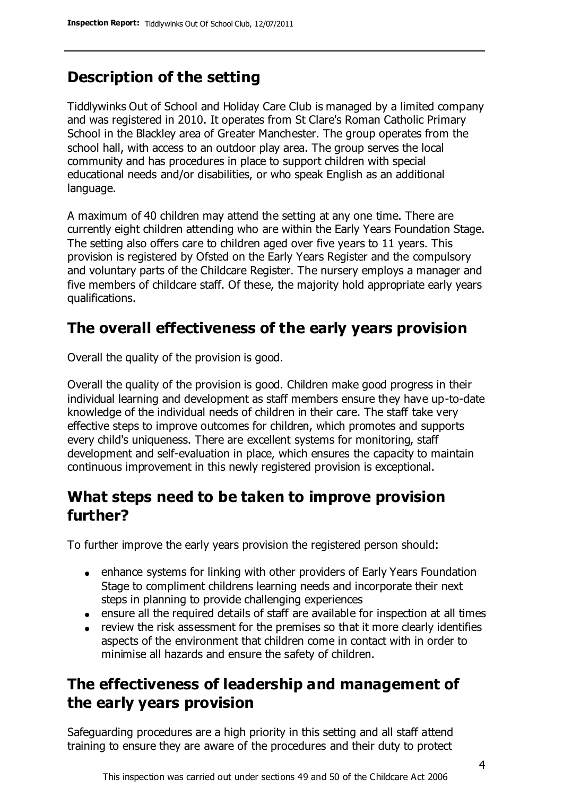# **Description of the setting**

Tiddlywinks Out of School and Holiday Care Club is managed by a limited company and was registered in 2010. It operates from St Clare's Roman Catholic Primary School in the Blackley area of Greater Manchester. The group operates from the school hall, with access to an outdoor play area. The group serves the local community and has procedures in place to support children with special educational needs and/or disabilities, or who speak English as an additional language.

A maximum of 40 children may attend the setting at any one time. There are currently eight children attending who are within the Early Years Foundation Stage. The setting also offers care to children aged over five years to 11 years. This provision is registered by Ofsted on the Early Years Register and the compulsory and voluntary parts of the Childcare Register. The nursery employs a manager and five members of childcare staff. Of these, the majority hold appropriate early years qualifications.

# **The overall effectiveness of the early years provision**

Overall the quality of the provision is good.

Overall the quality of the provision is good. Children make good progress in their individual learning and development as staff members ensure they have up-to-date knowledge of the individual needs of children in their care. The staff take very effective steps to improve outcomes for children, which promotes and supports every child's uniqueness. There are excellent systems for monitoring, staff development and self-evaluation in place, which ensures the capacity to maintain continuous improvement in this newly registered provision is exceptional.

## **What steps need to be taken to improve provision further?**

To further improve the early years provision the registered person should:

- enhance systems for linking with other providers of Early Years Foundation Stage to compliment childrens learning needs and incorporate their next steps in planning to provide challenging experiences
- ensure all the required details of staff are available for inspection at all times
- review the risk assessment for the premises so that it more clearly identifies aspects of the environment that children come in contact with in order to minimise all hazards and ensure the safety of children.

## **The effectiveness of leadership and management of the early years provision**

Safeguarding procedures are a high priority in this setting and all staff attend training to ensure they are aware of the procedures and their duty to protect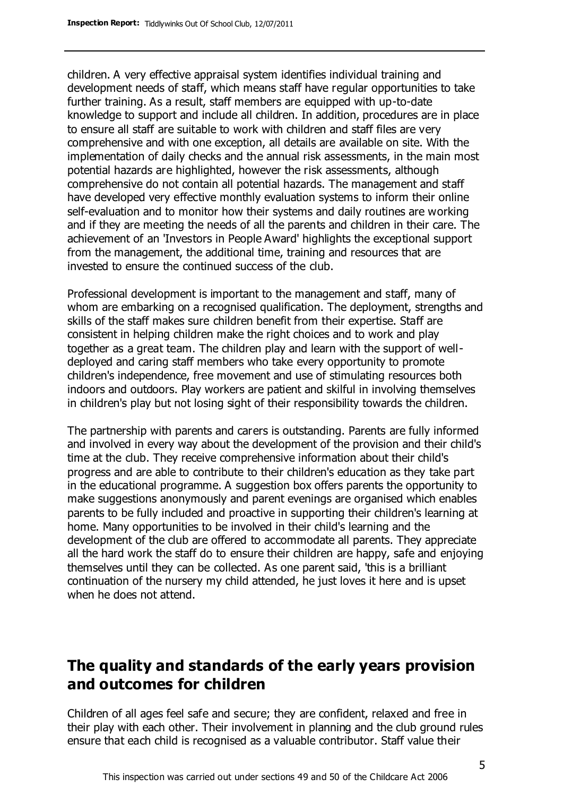children. A very effective appraisal system identifies individual training and development needs of staff, which means staff have regular opportunities to take further training. As a result, staff members are equipped with up-to-date knowledge to support and include all children. In addition, procedures are in place to ensure all staff are suitable to work with children and staff files are very comprehensive and with one exception, all details are available on site. With the implementation of daily checks and the annual risk assessments, in the main most potential hazards are highlighted, however the risk assessments, although comprehensive do not contain all potential hazards. The management and staff have developed very effective monthly evaluation systems to inform their online self-evaluation and to monitor how their systems and daily routines are working and if they are meeting the needs of all the parents and children in their care. The achievement of an 'Investors in People Award' highlights the exceptional support from the management, the additional time, training and resources that are invested to ensure the continued success of the club.

Professional development is important to the management and staff, many of whom are embarking on a recognised qualification. The deployment, strengths and skills of the staff makes sure children benefit from their expertise. Staff are consistent in helping children make the right choices and to work and play together as a great team. The children play and learn with the support of welldeployed and caring staff members who take every opportunity to promote children's independence, free movement and use of stimulating resources both indoors and outdoors. Play workers are patient and skilful in involving themselves in children's play but not losing sight of their responsibility towards the children.

The partnership with parents and carers is outstanding. Parents are fully informed and involved in every way about the development of the provision and their child's time at the club. They receive comprehensive information about their child's progress and are able to contribute to their children's education as they take part in the educational programme. A suggestion box offers parents the opportunity to make suggestions anonymously and parent evenings are organised which enables parents to be fully included and proactive in supporting their children's learning at home. Many opportunities to be involved in their child's learning and the development of the club are offered to accommodate all parents. They appreciate all the hard work the staff do to ensure their children are happy, safe and enjoying themselves until they can be collected. As one parent said, 'this is a brilliant continuation of the nursery my child attended, he just loves it here and is upset when he does not attend.

## **The quality and standards of the early years provision and outcomes for children**

Children of all ages feel safe and secure; they are confident, relaxed and free in their play with each other. Their involvement in planning and the club ground rules ensure that each child is recognised as a valuable contributor. Staff value their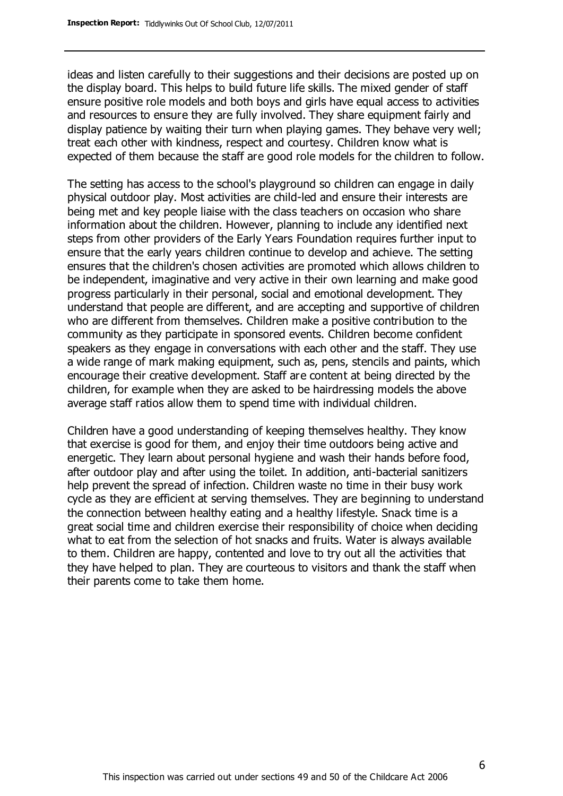ideas and listen carefully to their suggestions and their decisions are posted up on the display board. This helps to build future life skills. The mixed gender of staff ensure positive role models and both boys and girls have equal access to activities and resources to ensure they are fully involved. They share equipment fairly and display patience by waiting their turn when playing games. They behave very well; treat each other with kindness, respect and courtesy. Children know what is expected of them because the staff are good role models for the children to follow.

The setting has access to the school's playground so children can engage in daily physical outdoor play. Most activities are child-led and ensure their interests are being met and key people liaise with the class teachers on occasion who share information about the children. However, planning to include any identified next steps from other providers of the Early Years Foundation requires further input to ensure that the early years children continue to develop and achieve. The setting ensures that the children's chosen activities are promoted which allows children to be independent, imaginative and very active in their own learning and make good progress particularly in their personal, social and emotional development. They understand that people are different, and are accepting and supportive of children who are different from themselves. Children make a positive contribution to the community as they participate in sponsored events. Children become confident speakers as they engage in conversations with each other and the staff. They use a wide range of mark making equipment, such as, pens, stencils and paints, which encourage their creative development. Staff are content at being directed by the children, for example when they are asked to be hairdressing models the above average staff ratios allow them to spend time with individual children.

Children have a good understanding of keeping themselves healthy. They know that exercise is good for them, and enjoy their time outdoors being active and energetic. They learn about personal hygiene and wash their hands before food, after outdoor play and after using the toilet. In addition, anti-bacterial sanitizers help prevent the spread of infection. Children waste no time in their busy work cycle as they are efficient at serving themselves. They are beginning to understand the connection between healthy eating and a healthy lifestyle. Snack time is a great social time and children exercise their responsibility of choice when deciding what to eat from the selection of hot snacks and fruits. Water is always available to them. Children are happy, contented and love to try out all the activities that they have helped to plan. They are courteous to visitors and thank the staff when their parents come to take them home.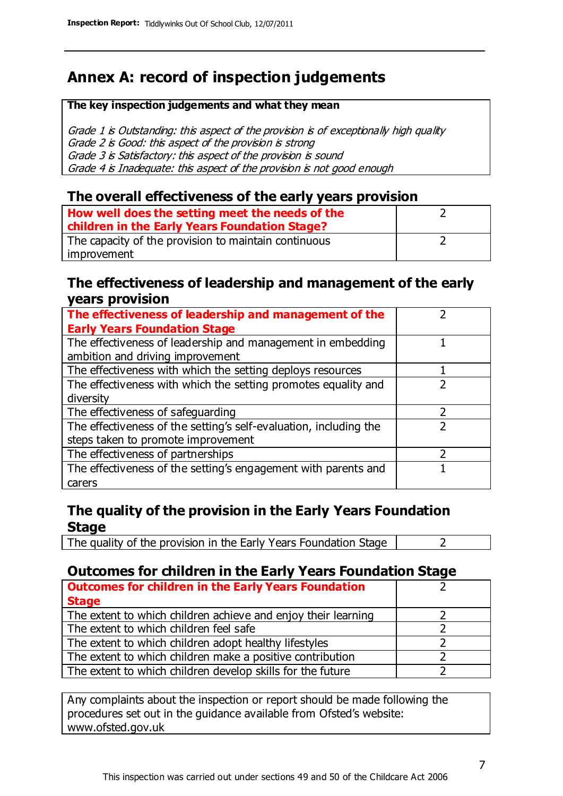# **Annex A: record of inspection judgements**

#### **The key inspection judgements and what they mean**

Grade 1 is Outstanding: this aspect of the provision is of exceptionally high quality Grade 2 is Good: this aspect of the provision is strong Grade 3 is Satisfactory: this aspect of the provision is sound Grade 4 is Inadequate: this aspect of the provision is not good enough

#### **The overall effectiveness of the early years provision**

| How well does the setting meet the needs of the<br>children in the Early Years Foundation Stage? |  |
|--------------------------------------------------------------------------------------------------|--|
| The capacity of the provision to maintain continuous                                             |  |
| improvement                                                                                      |  |

#### **The effectiveness of leadership and management of the early years provision**

| The effectiveness of leadership and management of the             |  |
|-------------------------------------------------------------------|--|
| <b>Early Years Foundation Stage</b>                               |  |
| The effectiveness of leadership and management in embedding       |  |
| ambition and driving improvement                                  |  |
| The effectiveness with which the setting deploys resources        |  |
| The effectiveness with which the setting promotes equality and    |  |
| diversity                                                         |  |
| The effectiveness of safeguarding                                 |  |
| The effectiveness of the setting's self-evaluation, including the |  |
| steps taken to promote improvement                                |  |
| The effectiveness of partnerships                                 |  |
| The effectiveness of the setting's engagement with parents and    |  |
| carers                                                            |  |

#### **The quality of the provision in the Early Years Foundation Stage**

The quality of the provision in the Early Years Foundation Stage  $\vert$  2

### **Outcomes for children in the Early Years Foundation Stage**

| <b>Outcomes for children in the Early Years Foundation</b>    |  |
|---------------------------------------------------------------|--|
| <b>Stage</b>                                                  |  |
| The extent to which children achieve and enjoy their learning |  |
| The extent to which children feel safe                        |  |
| The extent to which children adopt healthy lifestyles         |  |
| The extent to which children make a positive contribution     |  |
| The extent to which children develop skills for the future    |  |

Any complaints about the inspection or report should be made following the procedures set out in the guidance available from Ofsted's website: www.ofsted.gov.uk